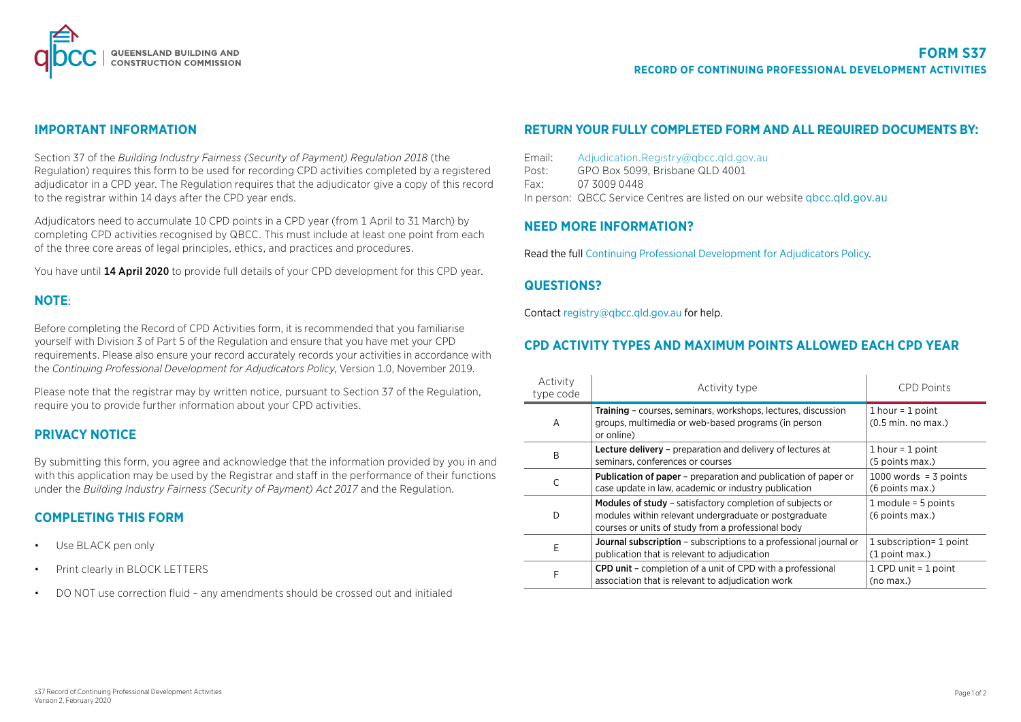

### **IMPORTANT INFORMATION**

Section 37 of the *Building Industry Fairness (Security of Payment) Regulation 2018* (the Regulation) requires this form to be used for recording CPD activities completed by a registered adjudicator in a CPD year. The Regulation requires that the adjudicator give a copy of this record to the registrar within 14 days after the CPD year ends.

Adjudicators need to accumulate 10 CPD points in a CPD year (from 1 April to 31 March) by completing CPD activities recognised by QBCC. This must include at least one point from each of the three core areas of legal principles, ethics, and practices and procedures.

You have until 14 April 2020 to provide full details of your CPD development for this CPD year.

# **NOTE**:

Before completing the Record of CPD Activities form, it is recommended that you familiarise yourself with Division 3 of Part 5 of the Regulation and ensure that you have met your CPD requirements. Please also ensure your record accurately records your activities in accordance with the *Continuing Professional Development for Adjudicators Policy*, Version 1.0, November 2019.

Please note that the registrar may by written notice, pursuant to Section 37 of the Regulation, require you to provide further information about your CPD activities.

# **PRIVACY NOTICE**

By submitting this form, you agree and acknowledge that the information provided by you in and with this application may be used by the Registrar and staff in the performance of their functions under the *Building Industry Fairness (Security of Payment) Act 2017* and the Regulation.

### **COMPLETING THIS FORM**

- Use BLACK pen only
- Print clearly in BLOCK LETTERS
- DO NOT use correction fluid any amendments should be crossed out and initialed

#### **RETURN YOUR FULLY COMPLETED FORM AND ALL REQUIRED DOCUMENTS BY:**

Email: [Adjudication.Registry@qbcc.qld.gov.au](mailto:Adjudication.Registry%40qbcc.qld.gov.au?subject=) Post: GPO Box 5099, Brisbane QLD 4001 Fax: 07 3009 0448 In person: QBCC Service Centres are listed on our website [qbcc.qld.gov.au](http://qbcc.qld.gov.au)

### **NEED MORE INFORMATION?**

Read the full [Continuing Professional Development for Adjudicators Policy](https://www.qbcc.qld.gov.au/sites/default/files/Continuing_Professional_Development_for_Adjudicators_Policy.pdf).

### **QUESTIONS?**

Contact [registry@qbcc.qld.gov.au](mailto:registry%40qbcc.qld.gov.au?subject=) for help.

# **CPD ACTIVITY TYPES AND MAXIMUM POINTS ALLOWED EACH CPD YEAR**

| Activity<br>type code | Activity type                                                                                                                                                                   | <b>CPD Points</b>                                    |  |
|-----------------------|---------------------------------------------------------------------------------------------------------------------------------------------------------------------------------|------------------------------------------------------|--|
| A                     | <b>Training</b> – courses, seminars, workshops, lectures, discussion<br>groups, multimedia or web-based programs (in person<br>or online)                                       | $1$ hour = $1$ point<br>$(0.5 \text{ min. no max.})$ |  |
| B                     | Lecture delivery - preparation and delivery of lectures at<br>seminars, conferences or courses                                                                                  | $1$ hour = $1$ point<br>(5 points max.)              |  |
|                       | <b>Publication of paper</b> – preparation and publication of paper or<br>case update in law, academic or industry publication                                                   | $1000$ words = 3 points<br>(6 points max.)           |  |
| D                     | <b>Modules of study - satisfactory completion of subjects or</b><br>modules within relevant undergraduate or postgraduate<br>courses or units of study from a professional body | 1 module = $5$ points<br>(6 points max.)             |  |
| E                     | <b>Journal subscription - subscriptions to a professional journal or</b><br>publication that is relevant to adjudication                                                        | 1 subscription= 1 point<br>$(1$ point max.)          |  |
| F                     | CPD unit - completion of a unit of CPD with a professional<br>association that is relevant to adjudication work                                                                 | $1$ CPD unit = 1 point<br>(no max.)                  |  |